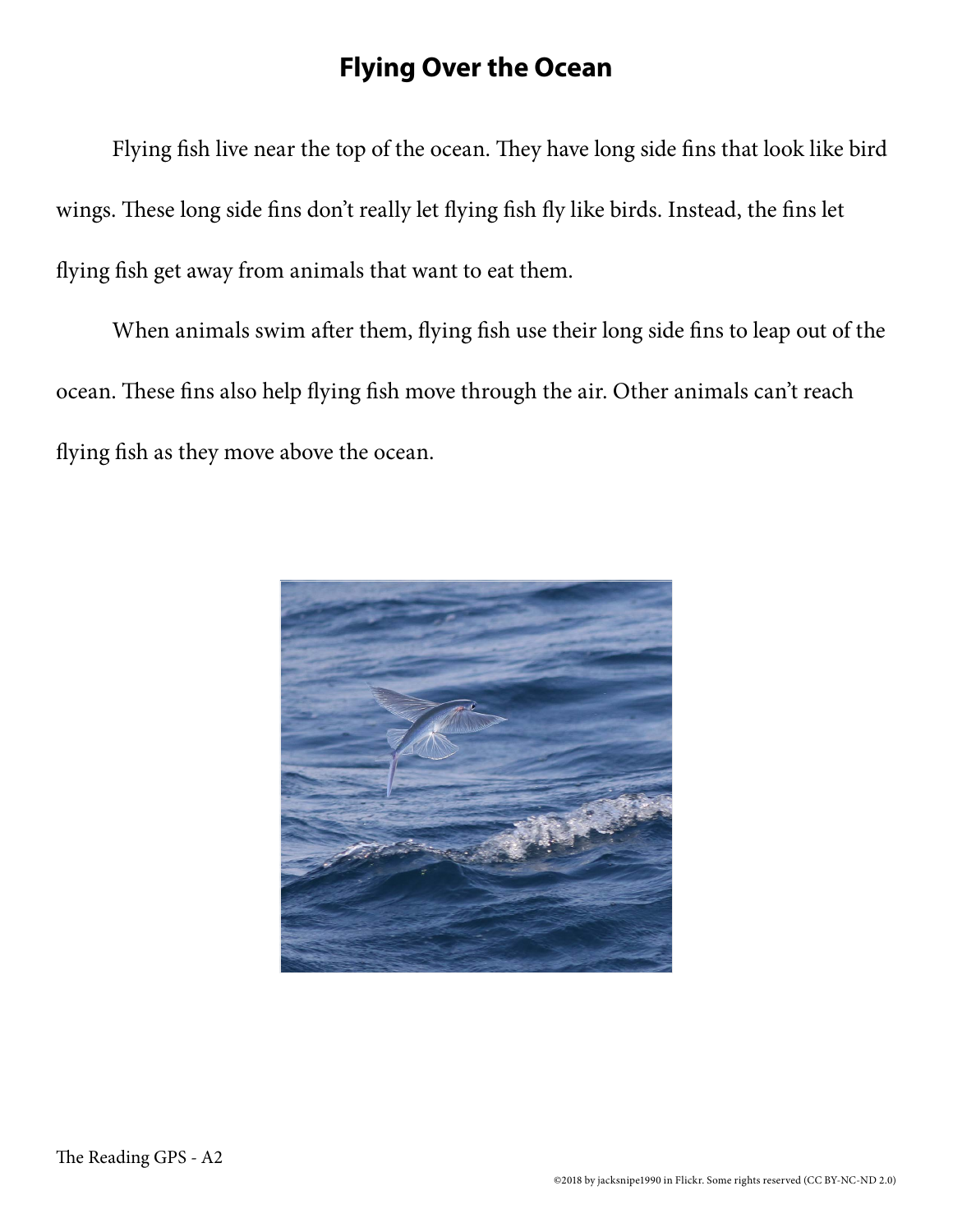## **Flying Over the Ocean**

Flying fish live near the top of the ocean. They have long side fins that look like bird wings. These long side fins don't really let flying fish fly like birds. Instead, the fins let flying fish get away from animals that want to eat them.

When animals swim after them, flying fish use their long side fins to leap out of the ocean. These fins also help flying fish move through the air. Other animals can't reach flying fish as they move above the ocean.